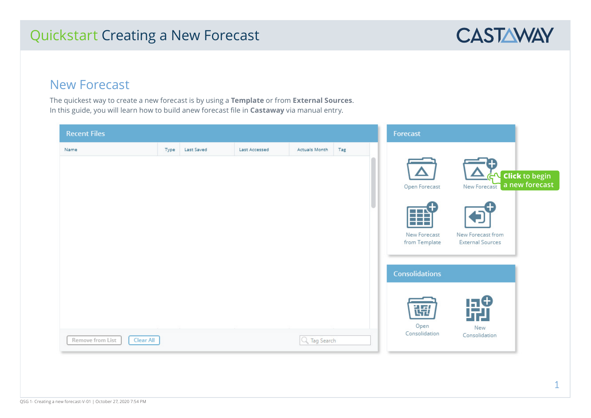# Quickstart Creating a New Forecast



## New Forecast

The quickest way to create a new forecast is by using a **Template** or from **External Sources**. In this guide, you will learn how to build anew forecast file in **Castaway** via manual entry.

| <b>Recent Files</b>           |      |            |               |               |     | Forecast                      |                                                     |
|-------------------------------|------|------------|---------------|---------------|-----|-------------------------------|-----------------------------------------------------|
| Name                          | Type | Last Saved | Last Accessed | Actuals Month | Tag |                               |                                                     |
|                               |      |            |               |               |     | Open Forecast                 | GN Click to begin<br>a new forecast<br>New Forecast |
|                               |      |            |               |               |     | $\boxplus$                    |                                                     |
|                               |      |            |               |               |     | New Forecast<br>from Template | New Forecast from<br><b>External Sources</b>        |
|                               |      |            |               |               |     | <b>Consolidations</b>         |                                                     |
|                               |      |            |               |               |     | 语                             | 開                                                   |
| Remove from List<br>Clear All |      |            |               | Q Tag Search  |     | Open<br>Consolidation         | New<br>Consolidation                                |